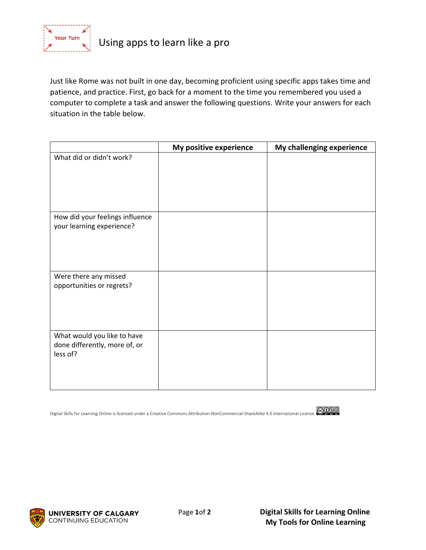

Just like Rome was not built in one day, becoming proficient using specific apps takes time and patience, and practice. First, go back for a moment to the time you remembered you used a computer to complete a task and answer the following questions. Write your answers for each situation in the table below.

|                                                                          | My positive experience | My challenging experience |
|--------------------------------------------------------------------------|------------------------|---------------------------|
| What did or didn't work?                                                 |                        |                           |
| How did your feelings influence<br>your learning experience?             |                        |                           |
| Were there any missed<br>opportunities or regrets?                       |                        |                           |
| What would you like to have<br>done differently, more of, or<br>less of? |                        |                           |

Digital Skills for Learning Online is licensed under a Creative Commons Attribution-NonCommercial-ShareAlike 4.0 International License.